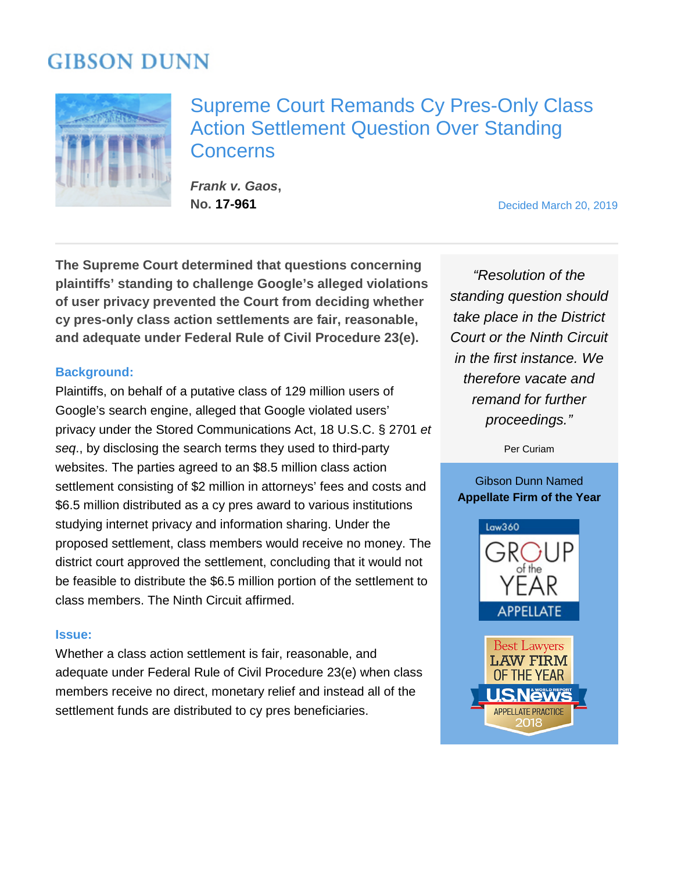# **GIBSON DUNN**



Supreme Court Remands Cy Pres-Only Class Action Settlement Question Over Standing Concerns

*Frank v. Gaos***,**

**No. 17-961** Decided March 20, 2019

**The Supreme Court determined that questions concerning plaintiffs' standing to challenge Google's alleged violations of user privacy prevented the Court from deciding whether cy pres-only class action settlements are fair, reasonable, and adequate under Federal Rule of Civil Procedure 23(e).**

#### **Background:**

Plaintiffs, on behalf of a putative class of 129 million users of Google's search engine, alleged that Google violated users' privacy under the Stored Communications Act, 18 U.S.C. § 2701 *et seq*., by disclosing the search terms they used to third-party websites. The parties agreed to an \$8.5 million class action settlement consisting of \$2 million in attorneys' fees and costs and \$6.5 million distributed as a cy pres award to various institutions studying internet privacy and information sharing. Under the proposed settlement, class members would receive no money. The district court approved the settlement, concluding that it would not be feasible to distribute the \$6.5 million portion of the settlement to class members. The Ninth Circuit affirmed.

#### **Issue:**

Whether a class action settlement is fair, reasonable, and adequate under Federal Rule of Civil Procedure 23(e) when class members receive no direct, monetary relief and instead all of the settlement funds are distributed to cy pres beneficiaries.

*"Resolution of the standing question should take place in the District Court or the Ninth Circuit in the first instance. We therefore vacate and remand for further proceedings."*

Per Curiam

# Gibson Dunn Named **Appellate Firm of the Year**

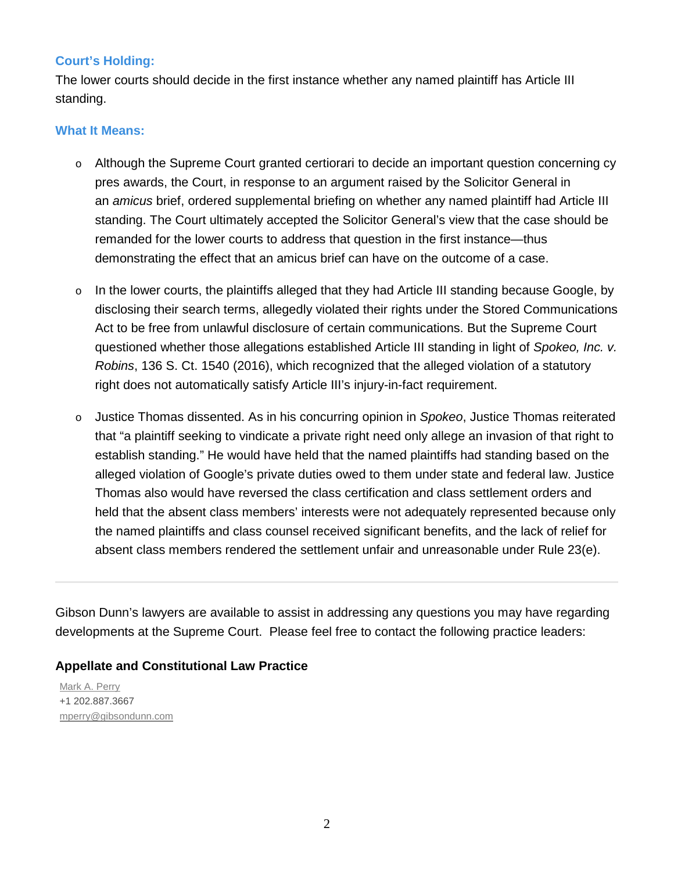# **Court's Holding:**

The lower courts should decide in the first instance whether any named plaintiff has Article III standing.

### **What It Means:**

- o Although the Supreme Court granted certiorari to decide an important question concerning cy pres awards, the Court, in response to an argument raised by the Solicitor General in an *amicus* brief, ordered supplemental briefing on whether any named plaintiff had Article III standing. The Court ultimately accepted the Solicitor General's view that the case should be remanded for the lower courts to address that question in the first instance—thus demonstrating the effect that an amicus brief can have on the outcome of a case.
- $\circ$  In the lower courts, the plaintiffs alleged that they had Article III standing because Google, by disclosing their search terms, allegedly violated their rights under the Stored Communications Act to be free from unlawful disclosure of certain communications. But the Supreme Court questioned whether those allegations established Article III standing in light of *Spokeo, Inc. v. Robins*, 136 S. Ct. 1540 (2016), which recognized that the alleged violation of a statutory right does not automatically satisfy Article III's injury-in-fact requirement.
- o Justice Thomas dissented. As in his concurring opinion in *Spokeo*, Justice Thomas reiterated that "a plaintiff seeking to vindicate a private right need only allege an invasion of that right to establish standing." He would have held that the named plaintiffs had standing based on the alleged violation of Google's private duties owed to them under state and federal law. Justice Thomas also would have reversed the class certification and class settlement orders and held that the absent class members' interests were not adequately represented because only the named plaintiffs and class counsel received significant benefits, and the lack of relief for absent class members rendered the settlement unfair and unreasonable under Rule 23(e).

Gibson Dunn's lawyers are available to assist in addressing any questions you may have regarding developments at the Supreme Court. Please feel free to contact the following practice leaders:

# **Appellate and Constitutional Law Practice**

[Mark A. Perry](https://www.gibsondunn.com/lawyer/perry-mark-a/) +1 202.887.3667 [mperry@gibsondunn.com](mailto:mperry@gibsondunn.com)